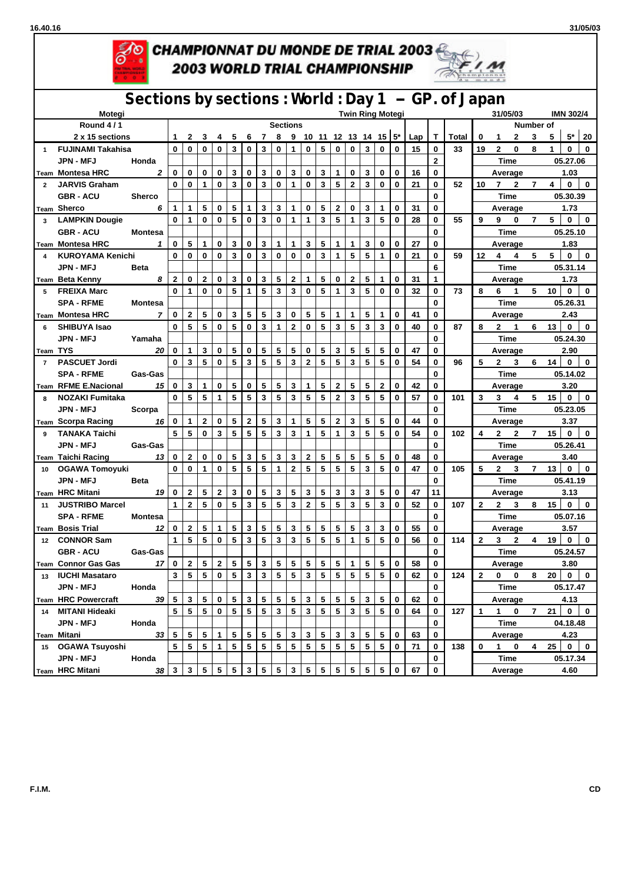**16.40.16 31/05/03**



## CHAMPIONNAT DU MONDE DE TRIAL 2003 **2003 WORLD TRIAL CHAMPIONSHIP**



## **Sections by sections : World : Day 1 -- GP. of Japan**

|                 | Motegi                      | .<br><b>Twin Ring Motegi</b> |                 |                |                         |                |            |                |                 |                 |                |                 |                         |                         | 31/05/03<br><b>IMN 302/4</b> |                |                           |              |     |              |              |              |                |              |                |          |                                 |              |  |
|-----------------|-----------------------------|------------------------------|-----------------|----------------|-------------------------|----------------|------------|----------------|-----------------|-----------------|----------------|-----------------|-------------------------|-------------------------|------------------------------|----------------|---------------------------|--------------|-----|--------------|--------------|--------------|----------------|--------------|----------------|----------|---------------------------------|--------------|--|
|                 | Round 4/1                   |                              |                 |                |                         |                |            |                |                 | <b>Sections</b> |                |                 |                         |                         |                              |                |                           |              |     |              |              |              |                | Number of    |                |          |                                 |              |  |
|                 | 2 x 15 sections             |                              | $\mathbf{1}$    | $\mathbf{2}$   | 3                       | 4              | 5          | 6              | 7               | 8               |                |                 |                         |                         |                              |                | 9 10 11 12 13 14 15 $5^*$ |              | Lap | Т            | <b>Total</b> | 0            | 1              | $\mathbf{2}$ | 3              | 5        | $5^*$                           | 20           |  |
| $\mathbf{1}$    | <b>FUJINAMI Takahisa</b>    |                              | $\mathbf 0$     | 0              | $\bf{0}$                | 0              | 3          | $\bf{0}$       | 3               | 0               | 1              | $\bf{0}$        | 5                       | 0                       | 0                            | 3              | $\mathbf 0$               | $\bf{0}$     | 15  | 0            | 33           | 19           | $\mathbf{2}$   | $\mathbf 0$  | 8              | 1        | 0                               | 0            |  |
|                 | <b>JPN - MFJ</b>            | Honda                        |                 |                |                         |                |            |                |                 |                 |                |                 |                         |                         |                              |                |                           |              |     | $\mathbf{2}$ |              |              | <b>Time</b>    |              |                |          | 05.27.06                        |              |  |
|                 | <sub>Team</sub> Montesa HRC | $\mathbf{2}$                 | 0               | 0              | $\bf{0}$                | $\mathbf 0$    | 3          | $\bf{0}$       | 3               | 0               | 3              | $\bf{0}$        | 3                       | $\mathbf{1}$            | 0                            | 3              | $\mathbf 0$               | $\mathbf 0$  | 16  | 0            |              |              | Average        |              |                |          | 1.03                            |              |  |
| $\overline{2}$  | <b>JARVIS Graham</b>        |                              | $\mathbf 0$     | $\mathbf 0$    | $\mathbf{1}$            | $\bf{0}$       | 3          | $\mathbf 0$    | 3               | $\bf{0}$        | $\mathbf{1}$   | $\mathbf 0$     | $\overline{\mathbf{3}}$ | 5                       | $\mathbf{2}$                 | 3              | $\bf{0}$                  | $\mathbf 0$  | 21  | 0            | 52           | 10           | 7 <sub>2</sub> |              | $\overline{7}$ | 4        | $\overline{\mathbf{0}}$         | $\mathbf 0$  |  |
|                 | <b>GBR - ACU</b>            | <b>Sherco</b>                |                 |                |                         |                |            |                |                 |                 |                |                 |                         |                         |                              |                |                           |              |     | $\mathbf{0}$ |              |              | Time           |              |                | 05.30.39 |                                 |              |  |
|                 | Team Sherco                 | 6                            | 1               | $\mathbf{1}$   | 5                       | $\mathbf 0$    | 5          | 1              | 3               | 3               | 1              | 0               | 5                       | $\mathbf{2}$            | 0                            | 3              | 1                         | $\bf{0}$     | 31  | 0            |              |              | Average        |              |                | 1.73     |                                 |              |  |
|                 | 3 LAMPKIN Dougie            |                              | $\mathbf 0$     | 1              | 0                       | 0              | 5          | $\mathbf 0$    | 3               | 0               | 1              | 1               | 3                       | 5                       | 1                            | 3              | 5                         | $\bf{0}$     | 28  | 0            | 55           | 9            | $9 \quad 0$    |              | $\overline{7}$ | 5        | $0-1$                           | $\mathbf{0}$ |  |
|                 | <b>GBR - ACU</b>            | <b>Montesa</b>               |                 |                |                         |                |            |                |                 |                 |                |                 |                         |                         |                              |                |                           |              |     | 0            |              |              | Time           |              |                |          | 05.25.10                        |              |  |
|                 | <b>Team Montesa HRC</b>     | $\mathbf{1}$                 | 0               | 5              | 1                       | 0              | 3          | $\mathbf 0$    | 3               | 1               | 1              | 3               | 5                       | $\mathbf{1}$            | $\mathbf{1}$                 | 3              | 0                         | $\bf{0}$     | 27  | 0            |              |              | Average        |              |                |          | 1.83                            |              |  |
|                 | <b>KUROYAMA Kenichi</b>     |                              | 0               | 0              | 0                       | 0              | 3          | $\bf{0}$       | 3               | 0               | $\mathbf 0$    | 0               | 3                       | 1                       | 5                            | 5              | 1                         | $\bf{0}$     | 21  | $\bf{0}$     | 59           | 12           | $4 \quad 4$    |              | 5              | 5        | $\mathbf{0}$                    | $\bf{0}$     |  |
|                 | <b>JPN - MFJ</b>            | <b>Beta</b>                  |                 |                |                         |                |            |                |                 |                 |                |                 |                         |                         |                              |                |                           |              |     | 6            |              |              | Time           |              |                | 05.31.14 |                                 |              |  |
|                 | Team Beta Kenny             | 8                            | $\mathbf{2}$    | 0              | $\mathbf{2}$            | $\bf{0}$       | 3          | $\mathbf 0$    | 3               | 5               | $\overline{2}$ | 1               | 5                       | $\mathbf 0$             | $\overline{\mathbf{2}}$      | 5              | 1                         | $\mathbf 0$  | 31  | 1            |              |              | Average        |              |                | 1.73     |                                 |              |  |
| 5               | <b>FREIXA Marc</b>          |                              | 0               | 1              | $\bf{0}$                | $\mathbf 0$    | 5          | 1              | 5               | 3               | 3              | $\mathbf 0$     | 5                       | 1                       | 3                            | 5              | $\bf{0}$                  | $\bf{0}$     | 32  | 0            | 73           | 8            | 6 1            |              | 5              | 10       | $\mathbf 0$                     | $\mathbf 0$  |  |
|                 | <b>SPA - RFME</b>           | Montesa                      |                 |                |                         |                |            |                |                 |                 |                |                 |                         |                         |                              |                |                           |              |     | 0            |              |              | Time           |              |                |          | 05.26.31                        |              |  |
|                 | Team Montesa HRC            | $\overline{7}$               | 0               | $\mathbf{2}$   | 5                       | 0              | 3          | 5              | 5               | 3               | 0              | 5               | 5                       | 1                       | 1                            | 5              | 1                         | 0            | 41  | 0            |              |              | Average        |              |                |          | 2.43                            |              |  |
| 6               | <b>SHIBUYA Isao</b>         |                              | 0               | 5              | 5                       | 0              | 5          | $\bf{0}$       | 3               | 1               | $\overline{2}$ | $\bf{0}$        | 5                       | 3                       | 5                            | 3              | 3                         | 0            | 40  | 0            | 87           | 8            |                | $2 \quad 1$  | 6              | 13       | $\overline{\mathbf{0}}$         | $\mathbf 0$  |  |
|                 | <b>JPN - MFJ</b>            | Yamaha                       |                 |                |                         |                |            |                |                 |                 |                |                 |                         |                         |                              |                |                           |              |     | 0            |              |              | <b>Time</b>    |              |                |          | 05.24.30                        |              |  |
| <b>Team TYS</b> |                             | 20                           | 0               | 1              | 3                       | $\mathbf 0$    | 5          | $\mathbf 0$    | 5               | 5               | 5              | $\bf{0}$        | 5                       | 3                       | 5                            | 5              | 5                         | $\mathbf 0$  | 47  | 0            |              |              | Average        |              |                |          | 2.90                            |              |  |
| $\overline{7}$  | <b>PASCUET Jordi</b>        |                              | $\mathbf{0}$    | 3              | 5                       | $\mathbf 0$    | 5          | 3              | 5               | 5               | 3              | $\overline{2}$  | 5                       | 5                       | 3                            | 5              | 5                         | $\bf{0}$     | 54  | 0            | 96           | 5            | $2^{\circ}$    | $\mathbf{3}$ | 6              |          | $14$ 0 $\overline{\phantom{0}}$ | $\mathbf{0}$ |  |
|                 | <b>SPA - RFME</b>           | <b>Gas-Gas</b>               |                 |                |                         |                |            |                |                 |                 |                |                 |                         |                         |                              |                |                           |              |     | 0            |              |              | Time           |              |                | 05.14.02 |                                 |              |  |
|                 | Team RFME E.Nacional        | 15 <sup>1</sup>              | 0               | 3              | $\mathbf{1}$            | $\mathbf 0$    | 5          | $\bf{0}$       | 5               | 5               | 3              | $\mathbf{1}$    | 5                       | $\bf 2$                 | 5                            | 5              | $\overline{2}$            | $\mathbf 0$  | 42  | 0            |              |              | Average        |              |                |          | 3.20                            |              |  |
| 8               | <b>NOZAKI Fumitaka</b>      |                              | $\mathbf 0$     | 5              | 5                       | $\mathbf{1}$   | 5          | 5              | 3               | 5               | 3              | 5               | 5                       | $\overline{\mathbf{2}}$ | 3                            | 5              | 5                         | $\mathbf 0$  | 57  | 0            | 101          | 3            | 3 <sub>1</sub> | 4            | 5              | 15       | $\overline{\mathbf{0}}$         | $\mathbf{0}$ |  |
|                 | <b>JPN - MFJ</b>            | Scorpa                       |                 |                |                         |                |            |                |                 |                 |                |                 |                         |                         |                              |                |                           |              |     | 0            |              |              | Time           |              |                | 05.23.05 |                                 |              |  |
|                 | Team Scorpa Racing 16       |                              | 0               | 1              | $\mathbf{2}$            | 0              | 5          | $\mathbf{2}$   | 5               | 3               | 1              | 5               | 5                       | $\overline{2}$          | 3                            | 5              | 5                         | 0            | 44  | 0            |              |              | Average        |              |                |          | 3.37                            |              |  |
| $9^{\circ}$     | <b>TANAKA Taichi</b>        |                              | 5               | 5              | $\mathbf 0$             | 3              | 5          | 5              | 5               | 3               | 3              | 1               | 5                       | 1                       | 3                            | 5              | 5                         | 0            | 54  | 0            | 102          | 4            | $2 \quad 2$    |              | $7\phantom{0}$ | 15       | $\mathbf 0$                     | $\mathbf 0$  |  |
|                 | <b>JPN - MFJ</b>            | Gas-Gas                      |                 |                |                         |                |            |                |                 |                 |                |                 |                         |                         |                              |                |                           |              |     | 0            |              |              | <b>Time</b>    |              |                |          | 05.26.41                        |              |  |
|                 | <b>Team Taichi Racing</b>   | 13                           | 0               | $\mathbf 2$    | $\bf{0}$                | $\mathbf 0$    | 5          | 3              | 5               | 3               | 3              | $\mathbf 2$     | 5                       | 5                       | 5                            | 5              | 5                         | $\mathbf 0$  | 48  | 0            |              |              | Average        |              |                |          | 3.40                            |              |  |
|                 | 10 OGAWA Tomoyuki           |                              | $\mathbf{0}$    | 0              | $\mathbf{1}$            | 0              | 5          | 5              | 5               | 1               | $\overline{2}$ | 5               | 5                       | 5                       | 5                            | 3              | 5                         | $\bf{0}$     | 47  | 0            | 105          | 5            | $2^{\circ}$    | 3            | 7              | 13       | $\overline{0}$                  | $\mathbf 0$  |  |
|                 | <b>JPN - MFJ</b>            | <b>Beta</b>                  |                 |                |                         |                |            |                |                 |                 |                |                 |                         |                         |                              |                |                           |              |     | 0            |              |              | Time           |              |                |          | 05.41.19                        |              |  |
|                 | Team HRC Mitani             | 19                           | 0               | $\mathbf 2$    | 5                       | $\overline{2}$ | 3          | $\mathbf 0$    | 5               | 3               | 5              | 3               | 5                       | 3                       | 3                            | 3              | 5                         | $\mathbf 0$  | 47  | 11           |              |              | Average        |              |                |          | 3.13                            |              |  |
|                 | 11 JUSTRIBO Marcel          |                              | $\mathbf{1}$    | $\mathbf 2$    | $\overline{\mathbf{5}}$ | $\bf{0}$       | 5          | 3              | 5               | 5               | 3              | $\mathbf 2$     | 5                       | 5                       | 3                            | 5              | 3                         | $\mathbf{0}$ | 52  | 0            | 107          | $\mathbf{2}$ | $2^{\circ}$    | 3            | 8              | 15       | $\overline{\mathbf{0}}$         | $\mathbf 0$  |  |
|                 | <b>SPA - RFME</b>           | <b>Montesa</b>               |                 |                |                         |                |            |                |                 |                 |                |                 |                         |                         |                              |                |                           |              |     | 0            |              |              | Time           |              |                | 05.07.16 |                                 |              |  |
|                 | <b>Team Bosis Trial</b>     | 12                           | 0               | $\mathbf 2$    | 5                       | 1              | 5          | 3              | 5               | 5               | 3              | 5               | 5                       | 5                       | 5                            | 3              | 3                         | $\mathbf{0}$ | 55  | 0            |              |              | Average        |              |                |          | 3.57                            |              |  |
| 12              | <b>CONNOR Sam</b>           |                              | $\mathbf{1}$    | 5              | 5                       | $\mathbf 0$    | 5          | 3              | 5               | 3               | 3              | 5               | 5                       | 5                       | 1                            | 5              | 5                         | $\bf{0}$     | 56  | 0            | 114          | $\mathbf{2}$ | 3 <sub>2</sub> |              | 4              | 19       | $\mathbf 0$                     | $\mathbf 0$  |  |
|                 | <b>GBR - ACU</b>            | <b>Gas-Gas</b>               |                 |                |                         |                |            |                |                 |                 |                |                 |                         |                         |                              |                |                           |              |     | 0            |              |              | Time           |              |                |          | 05.24.57                        |              |  |
|                 | Team Connor Gas Gas         | 17                           | $\mathbf 0$     | $\mathbf{2}$   | 5                       | $\mathbf{2}$   | 5          | 5              | 3               | 5               | 5              | 5               | 5                       | 5                       | 1                            | 5              | 5                         | $\bf{0}$     | 58  | 0            |              |              | Average        |              |                |          | 3.80                            |              |  |
|                 | 13 IUCHI Masataro           |                              | 3 <sup>1</sup>  | 5 <sup>1</sup> | 5                       | $\mathbf{0}$   | 5          |                | $3 \mid 3 \mid$ | 5 <sup>1</sup>  | 5 <sup>1</sup> | 3               | 5 <sup>1</sup>          | 5 <sup>1</sup>          | 5                            | 5 <sup>1</sup> | $5 \mid$                  | 0            | 62  | $\pmb{0}$    | 124          |              |                |              |                |          |                                 |              |  |
|                 | JPN - MFJ                   | Honda                        |                 |                |                         |                |            |                |                 |                 |                |                 |                         |                         |                              |                |                           |              |     | 0            |              |              | Time           |              |                |          | 05.17.47                        |              |  |
|                 | <b>Team HRC Powercraft</b>  |                              | $39 \mid 5$     | 3 <sup>1</sup> | 5 <sup>1</sup>          | $\pmb{0}$      | $\sqrt{5}$ | $\mathbf{3}$   | ${\bf 5}$       | 5               | ${\bf 5}$      | $\mathbf{3}$    | ${\bf 5}$               | ${\bf 5}$               | 5                            | $\mathbf{3}$   | $\sqrt{5}$                | $\mathbf 0$  | 62  | 0            |              |              | Average        |              |                |          | 4.13                            |              |  |
|                 | 14 MITANI Hideaki           |                              | 5               | 5 <sup>1</sup> | 5 <sup>1</sup>          | $\overline{0}$ | 5          | 5 <sub>5</sub> | 5               | 3               | 5              | $\mathbf{3}$    | 5                       | 5                       | 3                            | 5              | 5                         | $\bf{0}$     | 64  | 0            | 127          | $\mathbf{1}$ | $1 \quad$      | $\mathbf 0$  | $\overline{7}$ |          | 21 0 0                          |              |  |
|                 | JPN - MFJ                   | Honda                        |                 |                |                         |                |            |                |                 |                 |                |                 |                         |                         |                              |                |                           |              |     | 0            |              |              | Time           |              |                | 04.18.48 |                                 |              |  |
|                 | <sub>Team</sub> Mitani      | 33                           | 5               | 5              | 5 <sub>1</sub>          | $\mathbf{1}$   | 5          | 5              | 5               | 5               | $\mathbf 3$    | $\mathbf{3}$    | 5                       | $\mathbf 3$             | 3                            | 5              | 5                         | $\bf{0}$     | 63  | 0            |              |              | Average        |              |                |          | 4.23                            |              |  |
|                 | 15 OGAWA Tsuyoshi           |                              | $5\phantom{.0}$ | 5 <sub>1</sub> | 5 <sup>1</sup>          | $1 \vert$      | 5          | 5              | 5               | 5               | 5              | $5\phantom{.0}$ | 5                       | 5                       | 5                            | 5              | 5                         | 0            | 71  | 0            | 138          | 0            | $1 \quad 0$    |              | 4              |          | $25 \mid 0 \mid 0$              |              |  |
|                 | <b>JPN - MFJ</b>            | Honda                        |                 |                |                         |                |            |                |                 |                 |                |                 |                         |                         |                              |                |                           |              |     | 0            |              |              | Time           |              |                | 05.17.34 |                                 |              |  |
|                 | <b>Team HRC Mitani</b>      | 38 <sup>1</sup>              | $\mathbf{3}$    | $\mathbf{3}$   | 5 <sub>5</sub>          | 5              | 5          | 3              | 5               | 5               | 3              | 5               | $5\phantom{.0}$         | 5 <sub>5</sub>          | $5^{\circ}$                  | 5              | 5                         | $\bf{0}$     | 67  | 0            |              |              | Average        |              |                | 4.60     |                                 |              |  |